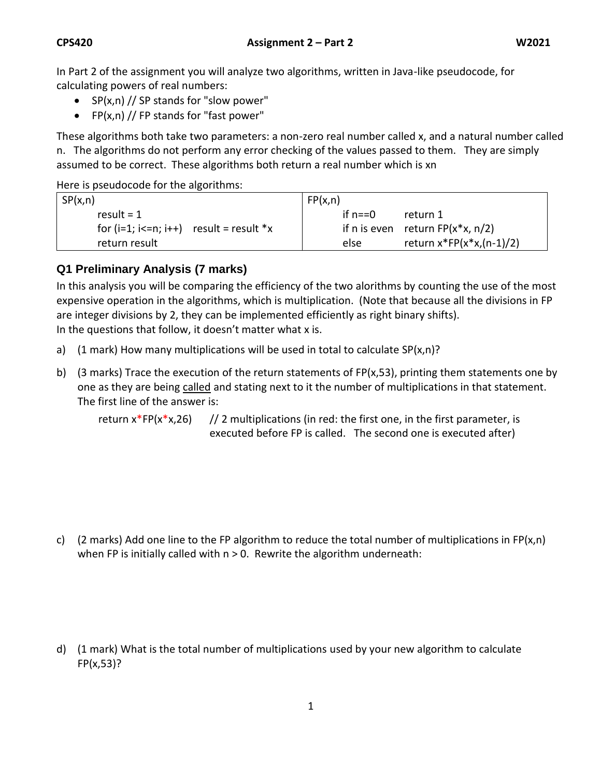In Part 2 of the assignment you will analyze two algorithms, written in Java-like pseudocode, for calculating powers of real numbers:

- $SP(x, n)$  // SP stands for "slow power"
- FP $(x, n)$  // FP stands for "fast power"

These algorithms both take two parameters: a non-zero real number called x, and a natural number called n. The algorithms do not perform any error checking of the values passed to them. They are simply assumed to be correct. These algorithms both return a real number which is xn

Here is pseudocode for the algorithms:

| SP(x,n)                                   | FP(x, n)                             |
|-------------------------------------------|--------------------------------------|
| result = $1$                              | if $n == 0$<br>return 1              |
| for $(i=1; i<=n; i++)$ result = result *x | if n is even return $FP(x*x, n/2)$   |
| return result                             | return $x^*FP(x^*x,(n-1)/2)$<br>else |

## **Q1 Preliminary Analysis (7 marks)**

In this analysis you will be comparing the efficiency of the two alorithms by counting the use of the most expensive operation in the algorithms, which is multiplication. (Note that because all the divisions in FP are integer divisions by 2, they can be implemented efficiently as right binary shifts). In the questions that follow, it doesn't matter what x is.

- a) (1 mark) How many multiplications will be used in total to calculate  $SP(x,n)$ ?
- b) (3 marks) Trace the execution of the return statements of FP(x,53), printing them statements one by one as they are being called and stating next to it the number of multiplications in that statement. The first line of the answer is:

return  $x^*FP(x^*x,26)$  // 2 multiplications (in red: the first one, in the first parameter, is executed before FP is called. The second one is executed after)

c) (2 marks) Add one line to the FP algorithm to reduce the total number of multiplications in FP(x,n) when FP is initially called with  $n > 0$ . Rewrite the algorithm underneath:

d) (1 mark) What is the total number of multiplications used by your new algorithm to calculate FP(x,53)?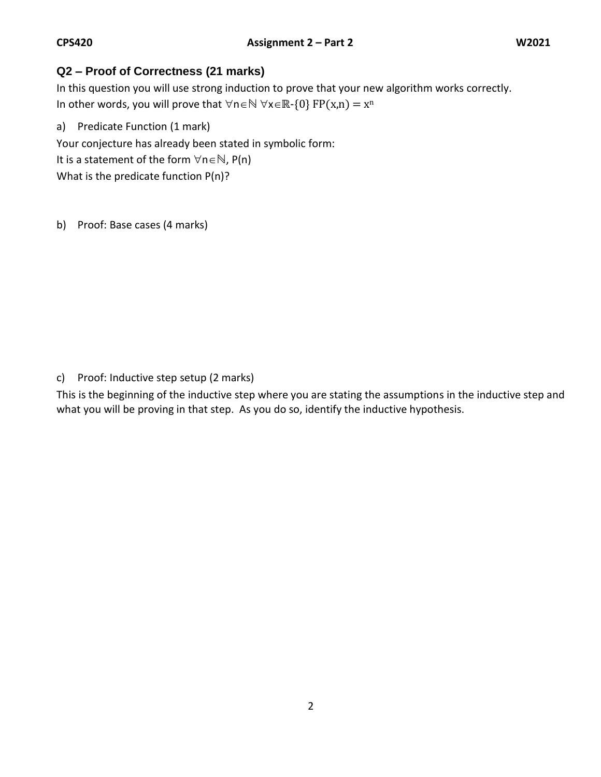## **Q2 – Proof of Correctness (21 marks)**

In this question you will use strong induction to prove that your new algorithm works correctly. In other words, you will prove that  $\forall n \in \mathbb{N}$   $\forall x \in \mathbb{R}$ -{0} FP(x,n) = x<sup>n</sup>

a) Predicate Function (1 mark) Your conjecture has already been stated in symbolic form: It is a statement of the form  $\forall n \in \mathbb{N}$ , P(n) What is the predicate function P(n)?

b) Proof: Base cases (4 marks)

c) Proof: Inductive step setup (2 marks)

This is the beginning of the inductive step where you are stating the assumptions in the inductive step and what you will be proving in that step. As you do so, identify the inductive hypothesis.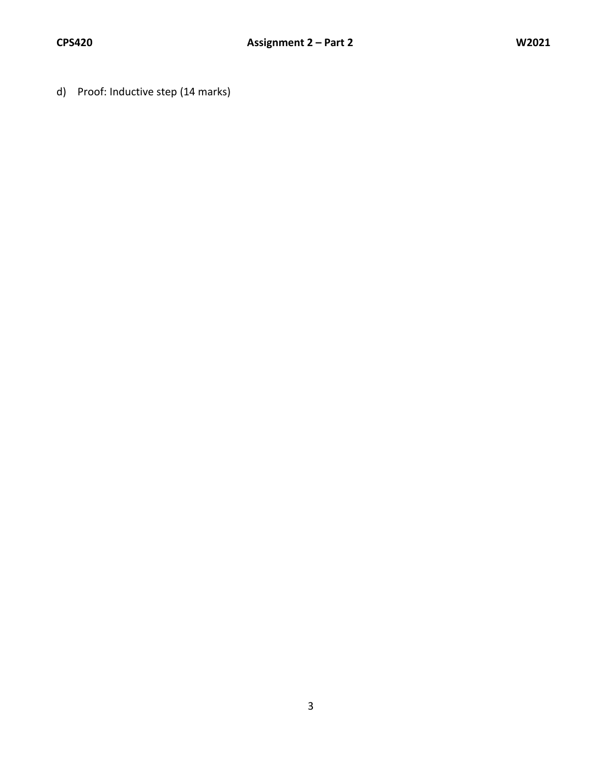d) Proof: Inductive step (14 marks)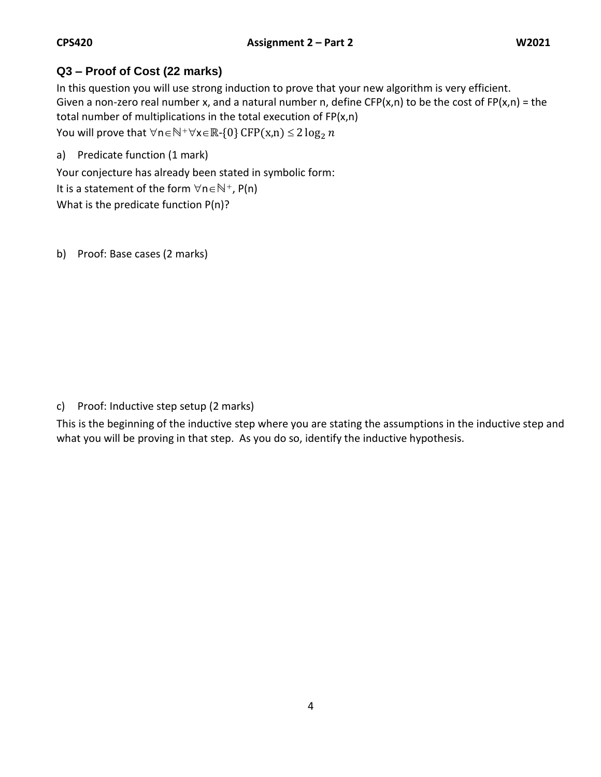## **Q3 – Proof of Cost (22 marks)**

In this question you will use strong induction to prove that your new algorithm is very efficient. Given a non-zero real number x, and a natural number n, define CFP(x,n) to be the cost of FP(x,n) = the total number of multiplications in the total execution of FP(x,n) You will prove that  $\forall n \in \mathbb{N}^+ \forall x \in \mathbb{R}$ -{0} CFP(x,n) ≤ 2 log<sub>2</sub> n

a) Predicate function (1 mark)

Your conjecture has already been stated in symbolic form:

It is a statement of the form  $\forall n \in \mathbb{N}^+$ , P(n)

What is the predicate function P(n)?

b) Proof: Base cases (2 marks)

c) Proof: Inductive step setup (2 marks)

This is the beginning of the inductive step where you are stating the assumptions in the inductive step and what you will be proving in that step. As you do so, identify the inductive hypothesis.